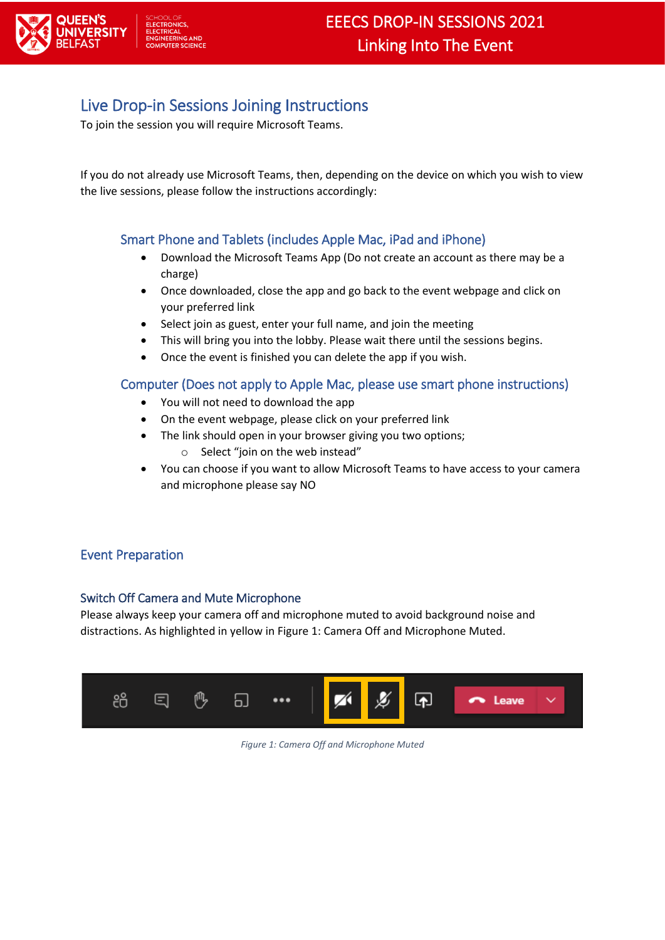

# Live Drop-in Sessions Joining Instructions

To join the session you will require Microsoft Teams.

If you do not already use Microsoft Teams, then, depending on the device on which you wish to view the live sessions, please follow the instructions accordingly:

# Smart Phone and Tablets (includes Apple Mac, iPad and iPhone)

- Download the Microsoft Teams App (Do not create an account as there may be a charge)
- Once downloaded, close the app and go back to the event webpage and click on your preferred link
- Select join as guest, enter your full name, and join the meeting
- This will bring you into the lobby. Please wait there until the sessions begins.
- Once the event is finished you can delete the app if you wish.

### Computer (Does not apply to Apple Mac, please use smart phone instructions)

- You will not need to download the app
- On the event webpage, please click on your preferred link
- The link should open in your browser giving you two options;
	- o Select "join on the web instead"
- You can choose if you want to allow Microsoft Teams to have access to your camera and microphone please say NO

# Event Preparation

#### Switch Off Camera and Mute Microphone

Please always keep your camera off and microphone muted to avoid background noise and distractions. As highlighted in yellow i[n Figure 1: Camera Off and Microphone Muted.](#page-0-0)

<span id="page-0-0"></span>

*Figure 1: Camera Off and Microphone Muted*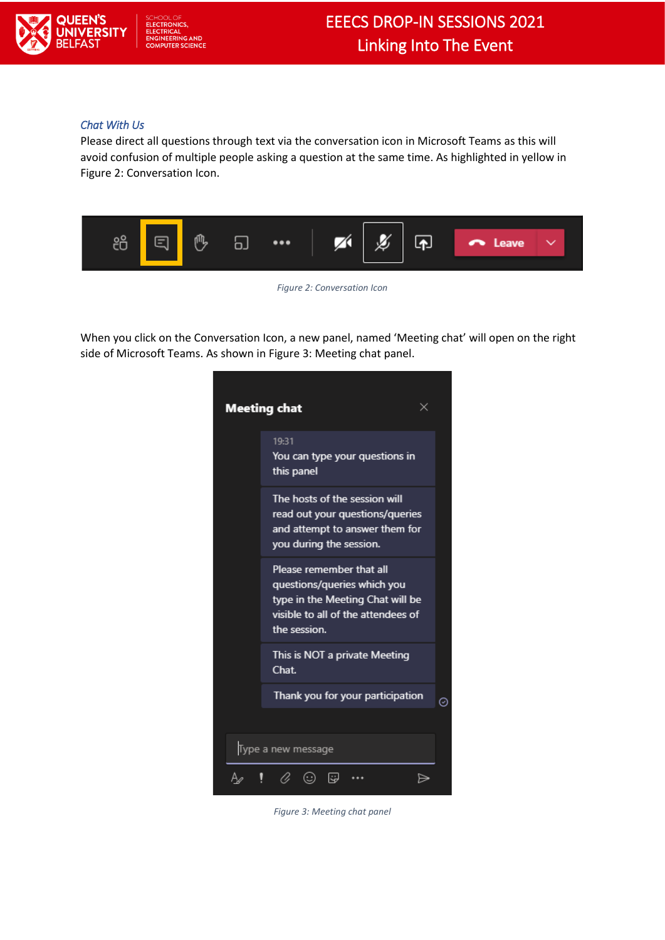

#### *Chat With Us*

Please direct all questions through text via the conversation icon in Microsoft Teams as this will avoid confusion of multiple people asking a question at the same time. As highlighted in yellow in [Figure 2: Conversation Icon.](#page-1-0)



*Figure 2: Conversation Icon*

<span id="page-1-0"></span>When you click on the Conversation Icon, a new panel, named 'Meeting chat' will open on the right side of Microsoft Teams. As shown i[n Figure 3: Meeting chat panel.](#page-1-1)

<span id="page-1-1"></span>

*Figure 3: Meeting chat panel*